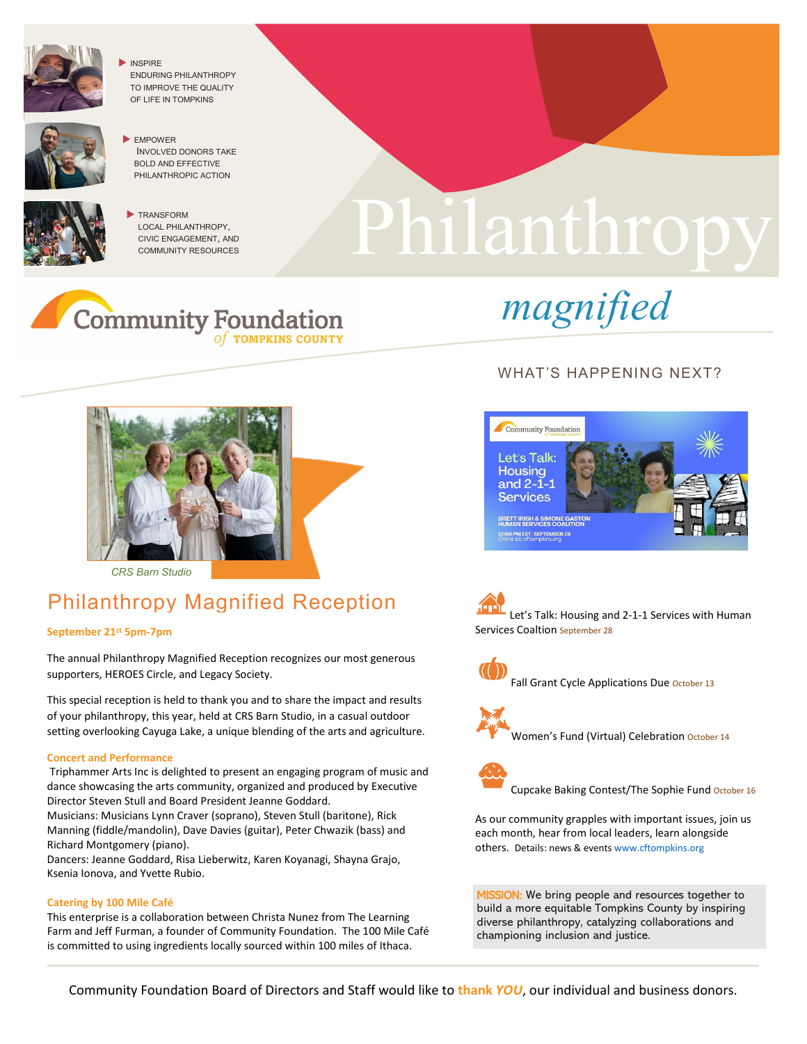

 INSPIRE ENDURING PHILANTHROPY TO IMPROVE THE QUALITY OF LIFE IN TOMPKINS





**TRANSFORM** LOCAL PHILANTHROPY, CIVIC ENGAGEMENT, AND COMMUNITY RESOURCES

# Philanthropy Philanthropy







*CRS Barn Studio* 

## Philanthropy Magnified Reception

#### **September 21st 5pm-7pm**

The annual Philanthropy Magnified Reception recognizes our most generous supporters, HEROES Circle, and Legacy Society.

This special reception is held to thank you and to share the impact and results of your philanthropy, this year, held at CRS Barn Studio, in a casual outdoor setting overlooking Cayuga Lake, a unique blending of the arts and agriculture.

#### **Concert and Performance**

Triphammer Arts Inc is delighted to present an engaging program of music and dance showcasing the arts community, organized and produced by Executive Director Steven Stull and Board President Jeanne Goddard. Musicians: Musicians Lynn Craver (soprano), Steven Stull (baritone), Rick

Manning (fiddle/mandolin), Dave Davies (guitar), Peter Chwazik (bass) and Richard Montgomery (piano).

Dancers: Jeanne Goddard, Risa Lieberwitz, Karen Koyanagi, Shayna Grajo, Ksenia Ionova, and Yvette Rubio.

#### **Catering by 100 Mile Café**

This enterprise is a collaboration between Christa Nunez from The Learning Farm and Jeff Furman, a founder of Community Foundation. The 100 Mile Café is committed to using ingredients locally sourced within 100 miles of Ithaca.

### WHAT'S HAPPENING NEXT?



Let's Talk: Housing and 2-1-1 Services with Human Services Coaltion September 28



Fall Grant Cycle Applications Due October 13



Women's Fund (Virtual) Celebration October 14



Cupcake Baking Contest/The Sophie Fund October 16

As our community grapples with important issues, join us each month, hear from local leaders, learn alongside others. Details: news & events [www.cftompkins.org](http://www.cftompkins.org/)

MISSION: We bring people and resources together to build a more equitable Tompkins County by inspiring diverse philanthropy, catalyzing collaborations and championing inclusion and justice.